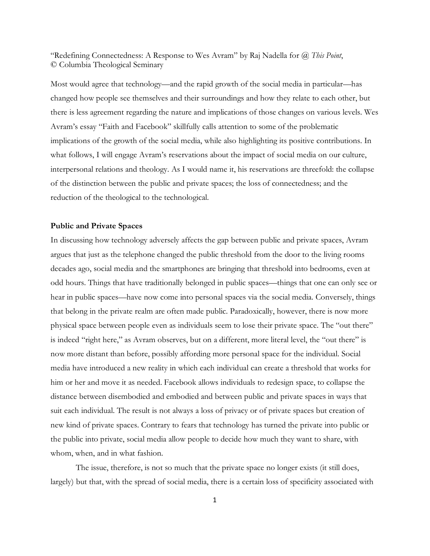"Redefining Connectedness: A Response to Wes Avram" by Raj Nadella for *@ This Point*, © Columbia Theological Seminary

Most would agree that technology—and the rapid growth of the social media in particular—has changed how people see themselves and their surroundings and how they relate to each other, but there is less agreement regarding the nature and implications of those changes on various levels. Wes Avram's essay "Faith and Facebook" skillfully calls attention to some of the problematic implications of the growth of the social media, while also highlighting its positive contributions. In what follows, I will engage Avram's reservations about the impact of social media on our culture, interpersonal relations and theology. As I would name it, his reservations are threefold: the collapse of the distinction between the public and private spaces; the loss of connectedness; and the reduction of the theological to the technological.

## **Public and Private Spaces**

In discussing how technology adversely affects the gap between public and private spaces, Avram argues that just as the telephone changed the public threshold from the door to the living rooms decades ago, social media and the smartphones are bringing that threshold into bedrooms, even at odd hours. Things that have traditionally belonged in public spaces—things that one can only see or hear in public spaces—have now come into personal spaces via the social media. Conversely, things that belong in the private realm are often made public. Paradoxically, however, there is now more physical space between people even as individuals seem to lose their private space. The "out there" is indeed "right here," as Avram observes, but on a different, more literal level, the "out there" is now more distant than before, possibly affording more personal space for the individual. Social media have introduced a new reality in which each individual can create a threshold that works for him or her and move it as needed. Facebook allows individuals to redesign space, to collapse the distance between disembodied and embodied and between public and private spaces in ways that suit each individual. The result is not always a loss of privacy or of private spaces but creation of new kind of private spaces. Contrary to fears that technology has turned the private into public or the public into private, social media allow people to decide how much they want to share, with whom, when, and in what fashion.

The issue, therefore, is not so much that the private space no longer exists (it still does, largely) but that, with the spread of social media, there is a certain loss of specificity associated with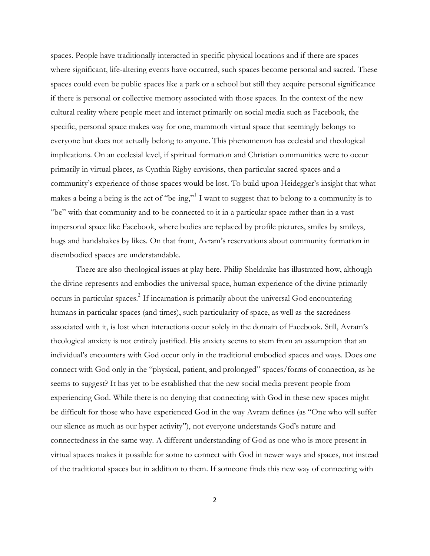spaces. People have traditionally interacted in specific physical locations and if there are spaces where significant, life-altering events have occurred, such spaces become personal and sacred. These spaces could even be public spaces like a park or a school but still they acquire personal significance if there is personal or collective memory associated with those spaces. In the context of the new cultural reality where people meet and interact primarily on social media such as Facebook, the specific, personal space makes way for one, mammoth virtual space that seemingly belongs to everyone but does not actually belong to anyone. This phenomenon has ecclesial and theological implications. On an ecclesial level, if spiritual formation and Christian communities were to occur primarily in virtual places, as Cynthia Rigby envisions, then particular sacred spaces and a community's experience of those spaces would be lost. To build upon Heidegger's insight that what makes a being a being is the act of "be-ing,"<sup>1</sup> I want to suggest that to belong to a community is to "be" with that community and to be connected to it in a particular space rather than in a vast impersonal space like Facebook, where bodies are replaced by profile pictures, smiles by smileys, hugs and handshakes by likes. On that front, Avram's reservations about community formation in disembodied spaces are understandable.

There are also theological issues at play here. Philip Sheldrake has illustrated how, although the divine represents and embodies the universal space, human experience of the divine primarily  $\alpha$  occurs in particular spaces.<sup>2</sup> If incarnation is primarily about the universal God encountering humans in particular spaces (and times), such particularity of space, as well as the sacredness associated with it, is lost when interactions occur solely in the domain of Facebook. Still, Avram's theological anxiety is not entirely justified. His anxiety seems to stem from an assumption that an individual's encounters with God occur only in the traditional embodied spaces and ways. Does one connect with God only in the "physical, patient, and prolonged" spaces/forms of connection, as he seems to suggest? It has yet to be established that the new social media prevent people from experiencing God. While there is no denying that connecting with God in these new spaces might be difficult for those who have experienced God in the way Avram defines (as "One who will suffer our silence as much as our hyper activity"), not everyone understands God's nature and connectedness in the same way. A different understanding of God as one who is more present in virtual spaces makes it possible for some to connect with God in newer ways and spaces, not instead of the traditional spaces but in addition to them. If someone finds this new way of connecting with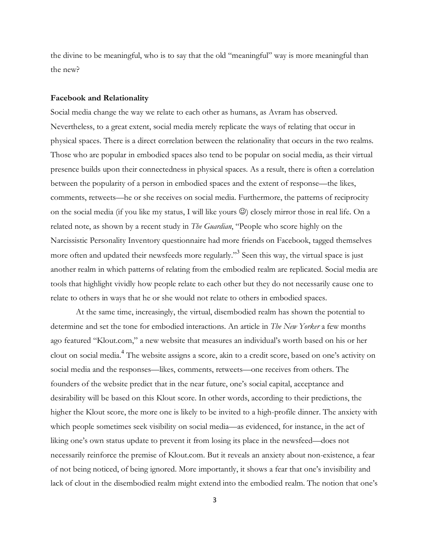the divine to be meaningful, who is to say that the old "meaningful" way is more meaningful than the new?

## **Facebook and Relationality**

Social media change the way we relate to each other as humans, as Avram has observed. Nevertheless, to a great extent, social media merely replicate the ways of relating that occur in physical spaces. There is a direct correlation between the relationality that occurs in the two realms. Those who are popular in embodied spaces also tend to be popular on social media, as their virtual presence builds upon their connectedness in physical spaces. As a result, there is often a correlation between the popularity of a person in embodied spaces and the extent of response—the likes, comments, retweets—he or she receives on social media. Furthermore, the patterns of reciprocity on the social media (if you like my status, I will like yours  $\circledcirc$ ) closely mirror those in real life. On a related note, as shown by a recent study in *The Guardian*, "People who score highly on the Narcissistic Personality Inventory questionnaire had more friends on Facebook, tagged themselves more often and updated their newsfeeds more regularly."<sup>3</sup> Seen this way, the virtual space is just another realm in which patterns of relating from the embodied realm are replicated. Social media are tools that highlight vividly how people relate to each other but they do not necessarily cause one to relate to others in ways that he or she would not relate to others in embodied spaces.

At the same time, increasingly, the virtual, disembodied realm has shown the potential to determine and set the tone for embodied interactions. An article in *The New Yorker* a few months ago featured "Klout.com," a new website that measures an individual's worth based on his or her clout on social media.<sup>4</sup> The website assigns a score, akin to a credit score, based on one's activity on social media and the responses—likes, comments, retweets—one receives from others. The founders of the website predict that in the near future, one's social capital, acceptance and desirability will be based on this Klout score. In other words, according to their predictions, the higher the Klout score, the more one is likely to be invited to a high-profile dinner. The anxiety with which people sometimes seek visibility on social media—as evidenced, for instance, in the act of liking one's own status update to prevent it from losing its place in the newsfeed—does not necessarily reinforce the premise of Klout.com. But it reveals an anxiety about non-existence, a fear of not being noticed, of being ignored. More importantly, it shows a fear that one's invisibility and lack of clout in the disembodied realm might extend into the embodied realm. The notion that one's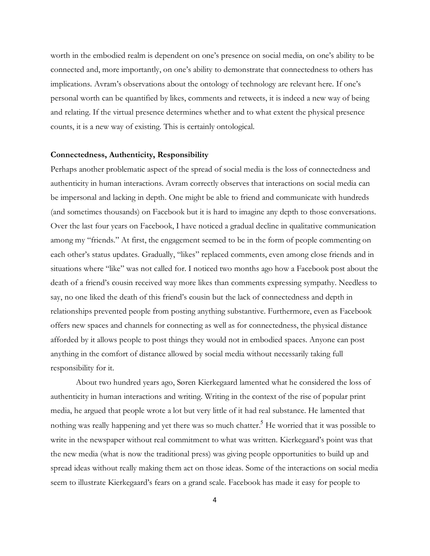worth in the embodied realm is dependent on one's presence on social media, on one's ability to be connected and, more importantly, on one's ability to demonstrate that connectedness to others has implications. Avram's observations about the ontology of technology are relevant here. If one's personal worth can be quantified by likes, comments and retweets, it is indeed a new way of being and relating. If the virtual presence determines whether and to what extent the physical presence counts, it is a new way of existing. This is certainly ontological.

## **Connectedness, Authenticity, Responsibility**

Perhaps another problematic aspect of the spread of social media is the loss of connectedness and authenticity in human interactions. Avram correctly observes that interactions on social media can be impersonal and lacking in depth. One might be able to friend and communicate with hundreds (and sometimes thousands) on Facebook but it is hard to imagine any depth to those conversations. Over the last four years on Facebook, I have noticed a gradual decline in qualitative communication among my "friends." At first, the engagement seemed to be in the form of people commenting on each other's status updates. Gradually, "likes" replaced comments, even among close friends and in situations where "like" was not called for. I noticed two months ago how a Facebook post about the death of a friend's cousin received way more likes than comments expressing sympathy. Needless to say, no one liked the death of this friend's cousin but the lack of connectedness and depth in relationships prevented people from posting anything substantive. Furthermore, even as Facebook offers new spaces and channels for connecting as well as for connectedness, the physical distance afforded by it allows people to post things they would not in embodied spaces. Anyone can post anything in the comfort of distance allowed by social media without necessarily taking full responsibility for it.

About two hundred years ago, Søren Kierkegaard lamented what he considered the loss of authenticity in human interactions and writing. Writing in the context of the rise of popular print media, he argued that people wrote a lot but very little of it had real substance. He lamented that nothing was really happening and yet there was so much chatter.<sup>5</sup> He worried that it was possible to write in the newspaper without real commitment to what was written. Kierkegaard's point was that the new media (what is now the traditional press) was giving people opportunities to build up and spread ideas without really making them act on those ideas. Some of the interactions on social media seem to illustrate Kierkegaard's fears on a grand scale. Facebook has made it easy for people to